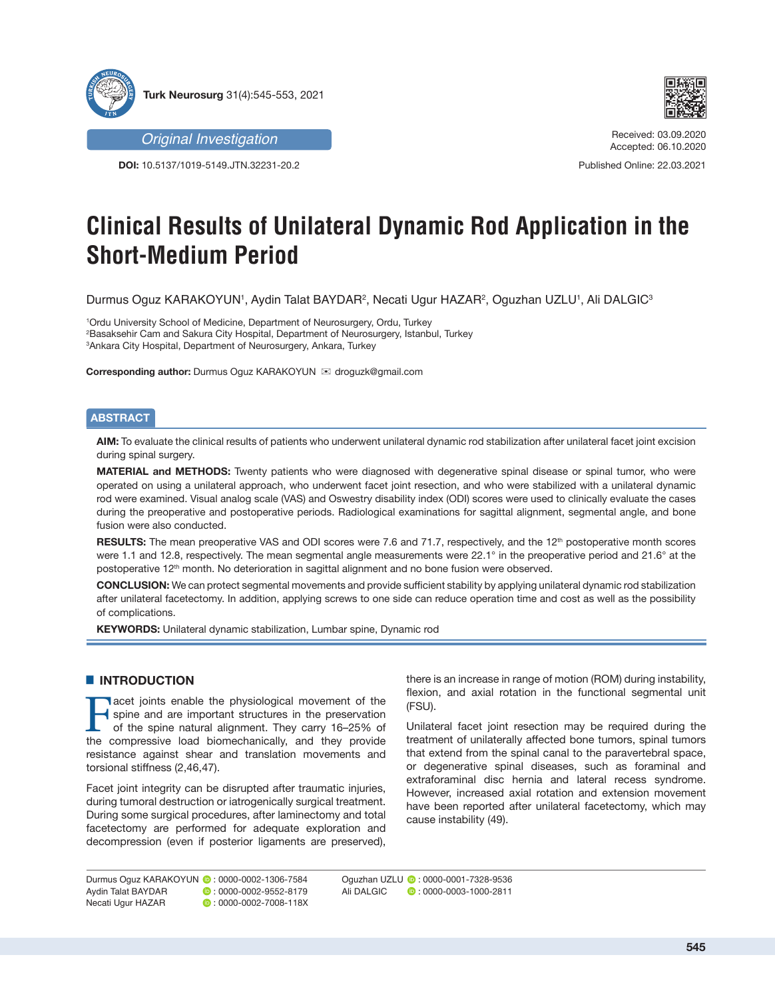



**DOI:** 10.5137/1019-5149.JTN.32231-20.2



Received: 03.09.2020 Accepted: 06.10.2020

Published Online: 22.03.2021

# **Clinical Results of Unilateral Dynamic Rod Application in the Short-Medium Period**

Durmus Oguz KARAKOYUN', Aydin Talat BAYDAR<sup>2</sup>, Necati Ugur HAZAR<sup>2</sup>, Oguzhan UZLU', Ali DALGIC<sup>3</sup>

1 Ordu University School of Medicine, Department of Neurosurgery, Ordu, Turkey 2 Basaksehir Cam and Sakura City Hospital, Department of Neurosurgery, Istanbul, Turkey 3 Ankara City Hospital, Department of Neurosurgery, Ankara, Turkey

**Corresponding author:** Durmus Oguz KARAKOYUN ⊠ droguzk@gmail.com

## **ABSTRACT**

**AIM:** To evaluate the clinical results of patients who underwent unilateral dynamic rod stabilization after unilateral facet joint excision during spinal surgery.

**MATERIAL and METHODS:** Twenty patients who were diagnosed with degenerative spinal disease or spinal tumor, who were operated on using a unilateral approach, who underwent facet joint resection, and who were stabilized with a unilateral dynamic rod were examined. Visual analog scale (VAS) and Oswestry disability index (ODI) scores were used to clinically evaluate the cases during the preoperative and postoperative periods. Radiological examinations for sagittal alignment, segmental angle, and bone fusion were also conducted.

RESULTS: The mean preoperative VAS and ODI scores were 7.6 and 71.7, respectively, and the 12<sup>th</sup> postoperative month scores were 1.1 and 12.8, respectively. The mean segmental angle measurements were 22.1° in the preoperative period and 21.6° at the postoperative 12<sup>th</sup> month. No deterioration in sagittal alignment and no bone fusion were observed.

**CONCLUSION:** We can protect segmental movements and provide sufficient stability by applying unilateral dynamic rod stabilization after unilateral facetectomy. In addition, applying screws to one side can reduce operation time and cost as well as the possibility of complications.

**KEYWORDS:** Unilateral dynamic stabilization, Lumbar spine, Dynamic rod

## **E** INTRODUCTION

Facet joints enable the physiological movement of the<br>spine and are important structures in the preservation<br>of the spine natural alignment. They carry 16–25% of<br>the compressive load biomechanically and they provide spine and are important structures in the preservation of the spine natural alignment. They carry 16–25% of the compressive load biomechanically, and they provide resistance against shear and translation movements and torsional stiffness (2,46,47).

Facet joint integrity can be disrupted after traumatic injuries, during tumoral destruction or iatrogenically surgical treatment. During some surgical procedures, after laminectomy and total facetectomy are performed for adequate exploration and decompression (even if posterior ligaments are preserved),

there is an increase in range of motion (ROM) during instability, flexion, and axial rotation in the functional segmental unit (FSU).

Unilateral facet joint resection may be required during the treatment of unilaterally affected bone tumors, spinal tumors that extend from the spinal canal to the paravertebral space, or degenerative spinal diseases, such as foraminal and extraforaminal disc hernia and lateral recess syndrome. However, increased axial rotation and extension movement have been reported after unilateral facetectomy, which may cause instability (49).

Durmus Oguz KARAKOYUN <sup>1</sup> : 0000-0002-1306-7584 Aydin Talat BAYDAR **:** 0000-0002-9552-8179 Necati Ugur HAZAR **:** 0000-0002-7008-118X

OguzhanUZLU ( : 0000-0001-7328-9536<br>Ali DALGIC ( : 0000-0003-1000-2811  $\bullet$ : 0000-0003-1000-2811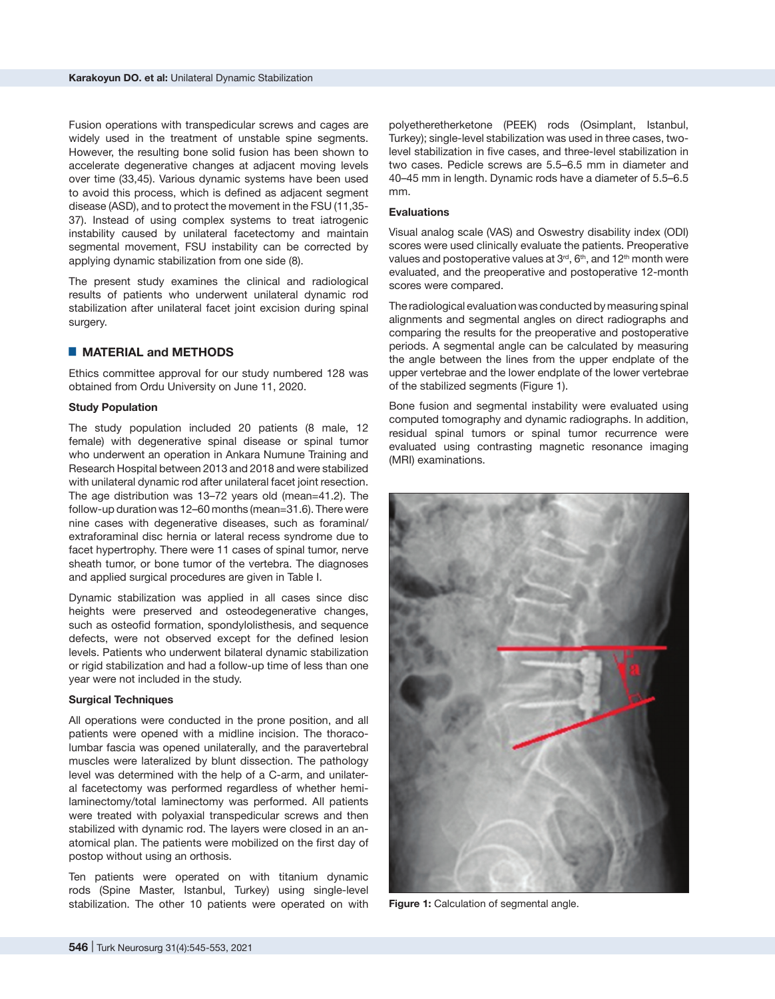Fusion operations with transpedicular screws and cages are widely used in the treatment of unstable spine segments. However, the resulting bone solid fusion has been shown to accelerate degenerative changes at adjacent moving levels over time (33,45). Various dynamic systems have been used to avoid this process, which is defined as adjacent segment disease (ASD), and to protect the movement in the FSU (11,35- 37). Instead of using complex systems to treat iatrogenic instability caused by unilateral facetectomy and maintain segmental movement, FSU instability can be corrected by applying dynamic stabilization from one side (8).

The present study examines the clinical and radiological results of patients who underwent unilateral dynamic rod stabilization after unilateral facet joint excision during spinal surgery.

## █ **MATERIAL and METHODS**

Ethics committee approval for our study numbered 128 was obtained from Ordu University on June 11, 2020.

#### **Study Population**

The study population included 20 patients (8 male, 12 female) with degenerative spinal disease or spinal tumor who underwent an operation in Ankara Numune Training and Research Hospital between 2013 and 2018 and were stabilized with unilateral dynamic rod after unilateral facet joint resection. The age distribution was 13–72 years old (mean=41.2). The follow-up duration was 12–60 months (mean=31.6). There were nine cases with degenerative diseases, such as foraminal/ extraforaminal disc hernia or lateral recess syndrome due to facet hypertrophy. There were 11 cases of spinal tumor, nerve sheath tumor, or bone tumor of the vertebra. The diagnoses and applied surgical procedures are given in Table I.

Dynamic stabilization was applied in all cases since disc heights were preserved and osteodegenerative changes, such as osteofid formation, spondylolisthesis, and sequence defects, were not observed except for the defined lesion levels. Patients who underwent bilateral dynamic stabilization or rigid stabilization and had a follow-up time of less than one year were not included in the study.

#### **Surgical Techniques**

All operations were conducted in the prone position, and all patients were opened with a midline incision. The thoracolumbar fascia was opened unilaterally, and the paravertebral muscles were lateralized by blunt dissection. The pathology level was determined with the help of a C-arm, and unilateral facetectomy was performed regardless of whether hemilaminectomy/total laminectomy was performed. All patients were treated with polyaxial transpedicular screws and then stabilized with dynamic rod. The layers were closed in an anatomical plan. The patients were mobilized on the first day of postop without using an orthosis.

Ten patients were operated on with titanium dynamic rods (Spine Master, Istanbul, Turkey) using single-level stabilization. The other 10 patients were operated on with

polyetheretherketone (PEEK) rods (Osimplant, Istanbul, Turkey); single-level stabilization was used in three cases, twolevel stabilization in five cases, and three-level stabilization in two cases. Pedicle screws are 5.5–6.5 mm in diameter and 40–45 mm in length. Dynamic rods have a diameter of 5.5–6.5 mm.

### **Evaluations**

Visual analog scale (VAS) and Oswestry disability index (ODI) scores were used clinically evaluate the patients. Preoperative values and postoperative values at  $3<sup>rd</sup>$ ,  $6<sup>th</sup>$ , and  $12<sup>th</sup>$  month were evaluated, and the preoperative and postoperative 12-month scores were compared.

The radiological evaluation was conducted by measuring spinal alignments and segmental angles on direct radiographs and comparing the results for the preoperative and postoperative periods. A segmental angle can be calculated by measuring the angle between the lines from the upper endplate of the upper vertebrae and the lower endplate of the lower vertebrae of the stabilized segments (Figure 1).

Bone fusion and segmental instability were evaluated using computed tomography and dynamic radiographs. In addition, residual spinal tumors or spinal tumor recurrence were evaluated using contrasting magnetic resonance imaging (MRI) examinations.



**Figure 1:** Calculation of segmental angle.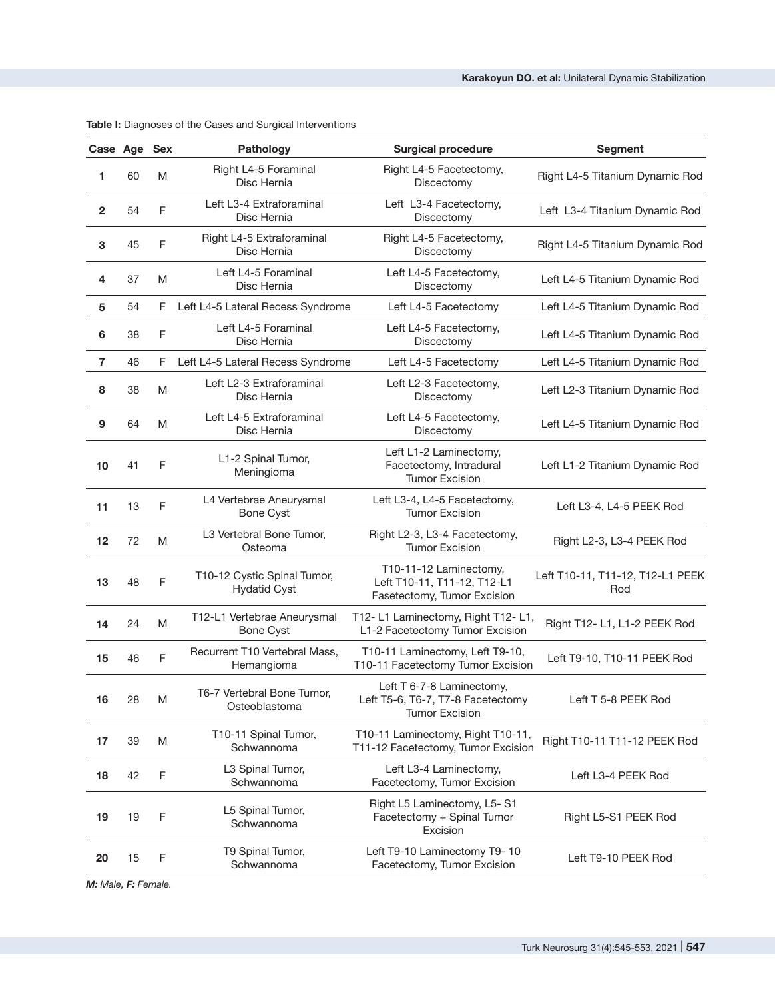| Case Age Sex   |    |   | Pathology                                          | <b>Surgical procedure</b>                                                               | <b>Segment</b>                          |
|----------------|----|---|----------------------------------------------------|-----------------------------------------------------------------------------------------|-----------------------------------------|
| 1              | 60 | M | Right L4-5 Foraminal<br>Disc Hernia                | Right L4-5 Facetectomy,<br>Discectomy                                                   | Right L4-5 Titanium Dynamic Rod         |
| $\overline{2}$ | 54 | F | Left L3-4 Extraforaminal<br>Disc Hernia            | Left L3-4 Facetectomy,<br>Discectomy                                                    | Left L3-4 Titanium Dynamic Rod          |
| 3              | 45 | F | Right L4-5 Extraforaminal<br>Disc Hernia           | Right L4-5 Facetectomy,<br>Discectomy                                                   | Right L4-5 Titanium Dynamic Rod         |
| 4              | 37 | M | Left L4-5 Foraminal<br>Disc Hernia                 | Left L4-5 Facetectomy,<br>Discectomy                                                    | Left L4-5 Titanium Dynamic Rod          |
| 5              | 54 | F | Left L4-5 Lateral Recess Syndrome                  | Left L4-5 Facetectomy                                                                   | Left L4-5 Titanium Dynamic Rod          |
| 6              | 38 | F | Left L4-5 Foraminal<br>Disc Hernia                 | Left L4-5 Facetectomy,<br>Discectomy                                                    | Left L4-5 Titanium Dynamic Rod          |
| 7              | 46 | F | Left L4-5 Lateral Recess Syndrome                  | Left L4-5 Facetectomy                                                                   | Left L4-5 Titanium Dynamic Rod          |
| 8              | 38 | M | Left L2-3 Extraforaminal<br>Disc Hernia            | Left L2-3 Facetectomy,<br>Discectomy                                                    | Left L2-3 Titanium Dynamic Rod          |
| 9              | 64 | M | Left L4-5 Extraforaminal<br>Disc Hernia            | Left L4-5 Facetectomy,<br>Discectomy                                                    | Left L4-5 Titanium Dynamic Rod          |
| 10             | 41 | F | L1-2 Spinal Tumor,<br>Meningioma                   | Left L1-2 Laminectomy,<br>Facetectomy, Intradural<br><b>Tumor Excision</b>              | Left L1-2 Titanium Dynamic Rod          |
| 11             | 13 | F | L4 Vertebrae Aneurysmal<br><b>Bone Cyst</b>        | Left L3-4, L4-5 Facetectomy,<br><b>Tumor Excision</b>                                   | Left L3-4, L4-5 PEEK Rod                |
| 12             | 72 | M | L3 Vertebral Bone Tumor,<br>Osteoma                | Right L2-3, L3-4 Facetectomy,<br><b>Tumor Excision</b>                                  | Right L2-3, L3-4 PEEK Rod               |
| 13             | 48 | F | T10-12 Cystic Spinal Tumor,<br><b>Hydatid Cyst</b> | T10-11-12 Laminectomy,<br>Left T10-11, T11-12, T12-L1<br>Fasetectomy, Tumor Excision    | Left T10-11, T11-12, T12-L1 PEEK<br>Rod |
| 14             | 24 | M | T12-L1 Vertebrae Aneurysmal<br><b>Bone Cyst</b>    | T12-L1 Laminectomy, Right T12-L1,<br>L1-2 Facetectomy Tumor Excision                    | Right T12- L1, L1-2 PEEK Rod            |
| 15             | 46 | F | Recurrent T10 Vertebral Mass,<br>Hemangioma        | T10-11 Laminectomy, Left T9-10,<br>T10-11 Facetectomy Tumor Excision                    | Left T9-10, T10-11 PEEK Rod             |
| 16             | 28 | M | T6-7 Vertebral Bone Tumor,<br>Osteoblastoma        | Left T 6-7-8 Laminectomy,<br>Left T5-6, T6-7, T7-8 Facetectomy<br><b>Tumor Excision</b> | Left T 5-8 PEEK Rod                     |
| 17             | 39 | M | T10-11 Spinal Tumor,<br>Schwannoma                 | T10-11 Laminectomy, Right T10-11,<br>T11-12 Facetectomy, Tumor Excision                 | Right T10-11 T11-12 PEEK Rod            |
| 18             | 42 | F | L3 Spinal Tumor,<br>Schwannoma                     | Left L3-4 Laminectomy,<br>Facetectomy, Tumor Excision                                   | Left L3-4 PEEK Rod                      |
| 19             | 19 | F | L5 Spinal Tumor,<br>Schwannoma                     | Right L5 Laminectomy, L5-S1<br>Facetectomy + Spinal Tumor<br>Excision                   | Right L5-S1 PEEK Rod                    |
| 20             | 15 | F | T9 Spinal Tumor,<br>Schwannoma                     | Left T9-10 Laminectomy T9-10<br>Facetectomy, Tumor Excision                             | Left T9-10 PEEK Rod                     |

**Table I:** Diagnoses of the Cases and Surgical Interventions

*M: Male, F: Female.*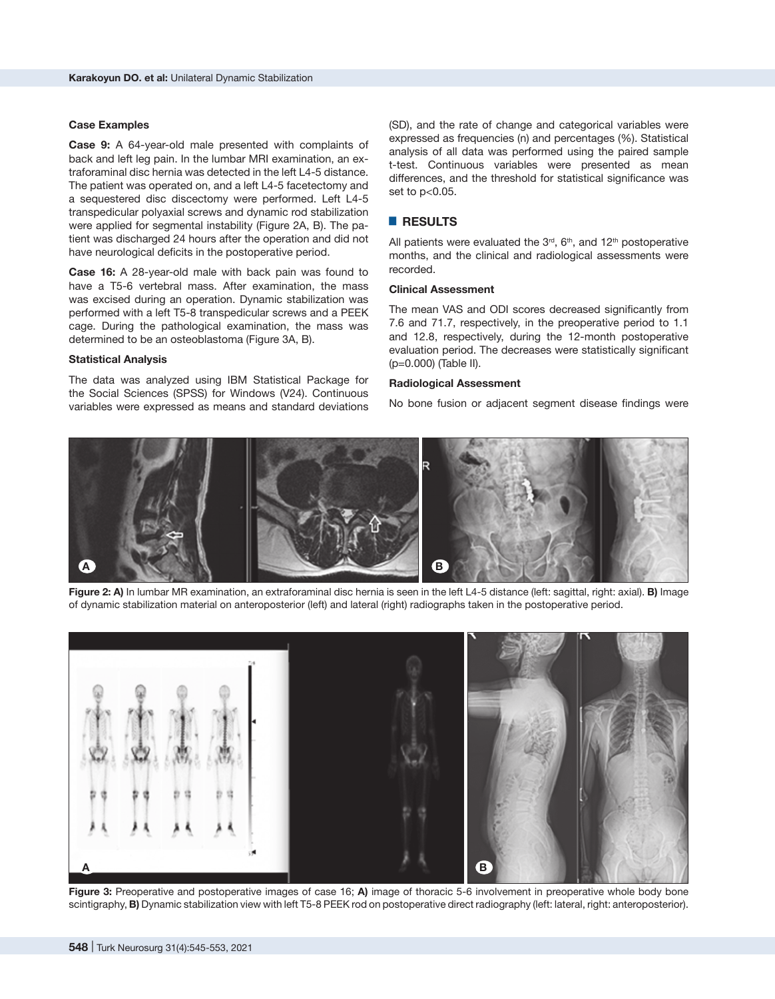#### **Case Examples**

**Case 9:** A 64-year-old male presented with complaints of back and left leg pain. In the lumbar MRI examination, an extraforaminal disc hernia was detected in the left L4-5 distance. The patient was operated on, and a left L4-5 facetectomy and a sequestered disc discectomy were performed. Left L4-5 transpedicular polyaxial screws and dynamic rod stabilization were applied for segmental instability (Figure 2A, B). The patient was discharged 24 hours after the operation and did not have neurological deficits in the postoperative period.

**Case 16:** A 28-year-old male with back pain was found to have a T5-6 vertebral mass. After examination, the mass was excised during an operation. Dynamic stabilization was performed with a left T5-8 transpedicular screws and a PEEK cage. During the pathological examination, the mass was determined to be an osteoblastoma (Figure 3A, B).

#### **Statistical Analysis**

The data was analyzed using IBM Statistical Package for the Social Sciences (SPSS) for Windows (V24). Continuous variables were expressed as means and standard deviations (SD), and the rate of change and categorical variables were expressed as frequencies (n) and percentages (%). Statistical analysis of all data was performed using the paired sample t-test. Continuous variables were presented as mean differences, and the threshold for statistical significance was set to p<0.05.

## █ **RESULTS**

All patients were evaluated the  $3<sup>rd</sup>$ ,  $6<sup>th</sup>$ , and  $12<sup>th</sup>$  postoperative months, and the clinical and radiological assessments were recorded.

#### **Clinical Assessment**

The mean VAS and ODI scores decreased significantly from 7.6 and 71.7, respectively, in the preoperative period to 1.1 and 12.8, respectively, during the 12-month postoperative evaluation period. The decreases were statistically significant (p=0.000) (Table II).

#### **Radiological Assessment**

No bone fusion or adjacent segment disease findings were



**Figure 2: A)** In lumbar MR examination, an extraforaminal disc hernia is seen in the left L4-5 distance (left: sagittal, right: axial). **B)** Image of dynamic stabilization material on anteroposterior (left) and lateral (right) radiographs taken in the postoperative period.



**Figure 3:** Preoperative and postoperative images of case 16; **A)** image of thoracic 5-6 involvement in preoperative whole body bone scintigraphy, **B)** Dynamic stabilization view with left T5-8 PEEK rod on postoperative direct radiography (left: lateral, right: anteroposterior).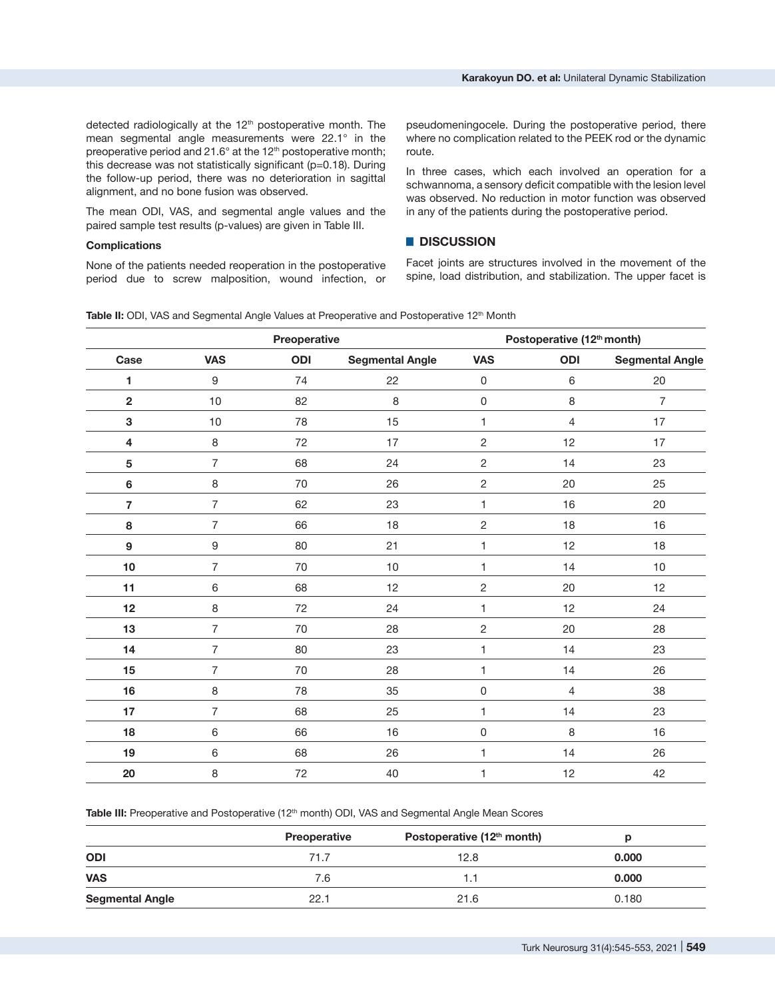detected radiologically at the  $12<sup>th</sup>$  postoperative month. The mean segmental angle measurements were 22.1° in the preoperative period and  $21.6^\circ$  at the  $12^{th}$  postoperative month; this decrease was not statistically significant (p=0.18). During the follow-up period, there was no deterioration in sagittal alignment, and no bone fusion was observed.

The mean ODI, VAS, and segmental angle values and the paired sample test results (p-values) are given in Table III.

#### **Complications**

None of the patients needed reoperation in the postoperative period due to screw malposition, wound infection, or pseudomeningocele. During the postoperative period, there where no complication related to the PEEK rod or the dynamic route.

In three cases, which each involved an operation for a schwannoma, a sensory deficit compatible with the lesion level was observed. No reduction in motor function was observed in any of the patients during the postoperative period.

## █ **DISCUSSION**

Facet joints are structures involved in the movement of the spine, load distribution, and stabilization. The upper facet is

Table II: ODI, VAS and Segmental Angle Values at Preoperative and Postoperative 12<sup>th</sup> Month

|                         | Preoperative     |     |                        | Postoperative (12 <sup>th</sup> month) |                |                        |
|-------------------------|------------------|-----|------------------------|----------------------------------------|----------------|------------------------|
| Case                    | <b>VAS</b>       | ODI | <b>Segmental Angle</b> | <b>VAS</b>                             | ODI            | <b>Segmental Angle</b> |
| 1                       | 9                | 74  | 22                     | $\mathsf 0$                            | $\,6\,$        | 20                     |
| $\overline{\mathbf{2}}$ | $10$             | 82  | $\,8\,$                | $\mathsf 0$                            | $\,8\,$        | $\overline{7}$         |
| 3                       | $10$             | 78  | 15                     | 1                                      | $\overline{4}$ | 17                     |
| $\overline{\mathbf{4}}$ | 8                | 72  | 17                     | $\overline{c}$                         | 12             | 17                     |
| 5                       | $\overline{7}$   | 68  | 24                     | $\overline{2}$                         | 14             | 23                     |
| $\bf 6$                 | $\,8\,$          | 70  | 26                     | $\overline{c}$                         | 20             | 25                     |
| $\overline{7}$          | $\overline{7}$   | 62  | 23                     | 1                                      | 16             | 20                     |
| 8                       | $\overline{7}$   | 66  | 18                     | $\overline{2}$                         | 18             | 16                     |
| $\boldsymbol{9}$        | $\boldsymbol{9}$ | 80  | 21                     | 1                                      | 12             | 18                     |
| 10                      | $\overline{7}$   | 70  | 10                     | 1                                      | 14             | 10                     |
| 11                      | $\,6$            | 68  | 12                     | $\overline{c}$                         | 20             | 12                     |
| 12                      | 8                | 72  | 24                     | 1                                      | 12             | 24                     |
| 13                      | $\overline{7}$   | 70  | 28                     | $\overline{c}$                         | 20             | 28                     |
| 14                      | $\overline{7}$   | 80  | 23                     | 1                                      | 14             | 23                     |
| 15                      | $\overline{7}$   | 70  | 28                     | $\mathbf{1}$                           | 14             | 26                     |
| 16                      | 8                | 78  | 35                     | $\mathsf 0$                            | $\overline{4}$ | 38                     |
| 17                      | $\overline{7}$   | 68  | 25                     | 1                                      | 14             | 23                     |
| 18                      | 6                | 66  | 16                     | $\mathsf 0$                            | 8              | 16                     |
| 19                      | $\,6\,$          | 68  | 26                     | 1                                      | 14             | 26                     |
| 20                      | $\,8\,$          | 72  | 40                     | 1                                      | 12             | 42                     |

Table III: Preoperative and Postoperative (12<sup>th</sup> month) ODI, VAS and Segmental Angle Mean Scores

|                        | <b>Preoperative</b> | Postoperative (12 <sup>th</sup> month) |       |
|------------------------|---------------------|----------------------------------------|-------|
| <b>ODI</b>             | 71.7                | 12.8                                   | 0.000 |
| <b>VAS</b>             | 7.6                 |                                        | 0.000 |
| <b>Segmental Angle</b> | 22.1                | 21.6                                   | 0.180 |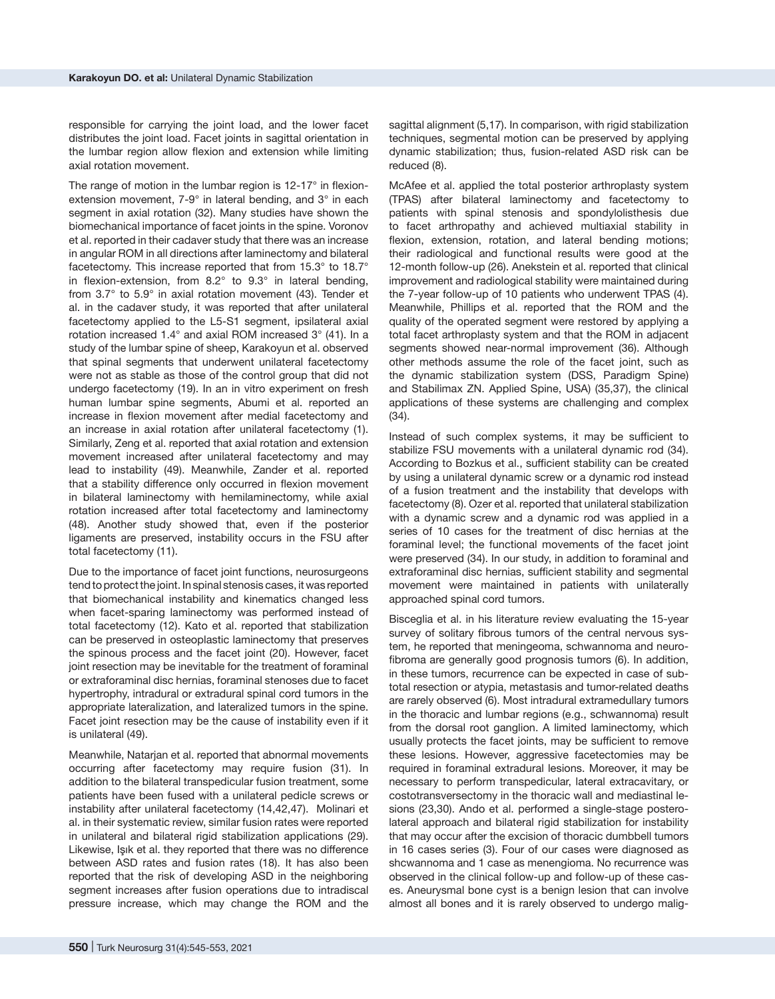responsible for carrying the joint load, and the lower facet distributes the joint load. Facet joints in sagittal orientation in the lumbar region allow flexion and extension while limiting axial rotation movement.

The range of motion in the lumbar region is 12-17° in flexionextension movement, 7-9° in lateral bending, and 3° in each segment in axial rotation (32). Many studies have shown the biomechanical importance of facet joints in the spine. Voronov et al. reported in their cadaver study that there was an increase in angular ROM in all directions after laminectomy and bilateral facetectomy. This increase reported that from 15.3° to 18.7° in flexion-extension, from  $8.2^\circ$  to  $9.3^\circ$  in lateral bending, from 3.7° to 5.9° in axial rotation movement (43). Tender et al. in the cadaver study, it was reported that after unilateral facetectomy applied to the L5-S1 segment, ipsilateral axial rotation increased 1.4° and axial ROM increased 3° (41). In a study of the lumbar spine of sheep, Karakoyun et al. observed that spinal segments that underwent unilateral facetectomy were not as stable as those of the control group that did not undergo facetectomy (19). In an in vitro experiment on fresh human lumbar spine segments, Abumi et al. reported an increase in flexion movement after medial facetectomy and an increase in axial rotation after unilateral facetectomy (1). Similarly, Zeng et al. reported that axial rotation and extension movement increased after unilateral facetectomy and may lead to instability (49). Meanwhile, Zander et al. reported that a stability difference only occurred in flexion movement in bilateral laminectomy with hemilaminectomy, while axial rotation increased after total facetectomy and laminectomy (48). Another study showed that, even if the posterior ligaments are preserved, instability occurs in the FSU after total facetectomy (11).

Due to the importance of facet joint functions, neurosurgeons tend to protect the joint. In spinal stenosis cases, it was reported that biomechanical instability and kinematics changed less when facet-sparing laminectomy was performed instead of total facetectomy (12). Kato et al. reported that stabilization can be preserved in osteoplastic laminectomy that preserves the spinous process and the facet joint (20). However, facet joint resection may be inevitable for the treatment of foraminal or extraforaminal disc hernias, foraminal stenoses due to facet hypertrophy, intradural or extradural spinal cord tumors in the appropriate lateralization, and lateralized tumors in the spine. Facet joint resection may be the cause of instability even if it is unilateral (49).

Meanwhile, Natarjan et al. reported that abnormal movements occurring after facetectomy may require fusion (31). In addition to the bilateral transpedicular fusion treatment, some patients have been fused with a unilateral pedicle screws or instability after unilateral facetectomy (14,42,47). Molinari et al. in their systematic review, similar fusion rates were reported in unilateral and bilateral rigid stabilization applications (29). Likewise, Işık et al. they reported that there was no difference between ASD rates and fusion rates (18). It has also been reported that the risk of developing ASD in the neighboring segment increases after fusion operations due to intradiscal pressure increase, which may change the ROM and the

sagittal alignment (5,17). In comparison, with rigid stabilization techniques, segmental motion can be preserved by applying dynamic stabilization; thus, fusion-related ASD risk can be reduced (8).

McAfee et al. applied the total posterior arthroplasty system (TPAS) after bilateral laminectomy and facetectomy to patients with spinal stenosis and spondylolisthesis due to facet arthropathy and achieved multiaxial stability in flexion, extension, rotation, and lateral bending motions; their radiological and functional results were good at the 12-month follow-up (26). Anekstein et al. reported that clinical improvement and radiological stability were maintained during the 7-year follow-up of 10 patients who underwent TPAS (4). Meanwhile, Phillips et al. reported that the ROM and the quality of the operated segment were restored by applying a total facet arthroplasty system and that the ROM in adjacent segments showed near-normal improvement (36). Although other methods assume the role of the facet joint, such as the dynamic stabilization system (DSS, Paradigm Spine) and Stabilimax ZN. Applied Spine, USA) (35,37), the clinical applications of these systems are challenging and complex (34).

Instead of such complex systems, it may be sufficient to stabilize FSU movements with a unilateral dynamic rod (34). According to Bozkus et al., sufficient stability can be created by using a unilateral dynamic screw or a dynamic rod instead of a fusion treatment and the instability that develops with facetectomy (8). Ozer et al. reported that unilateral stabilization with a dynamic screw and a dynamic rod was applied in a series of 10 cases for the treatment of disc hernias at the foraminal level; the functional movements of the facet joint were preserved (34). In our study, in addition to foraminal and extraforaminal disc hernias, sufficient stability and segmental movement were maintained in patients with unilaterally approached spinal cord tumors.

Bisceglia et al. in his literature review evaluating the 15-year survey of solitary fibrous tumors of the central nervous system, he reported that meningeoma, schwannoma and neurofibroma are generally good prognosis tumors (6). In addition, in these tumors, recurrence can be expected in case of subtotal resection or atypia, metastasis and tumor-related deaths are rarely observed (6). Most intradural extramedullary tumors in the thoracic and lumbar regions (e.g., schwannoma) result from the dorsal root ganglion. A limited laminectomy, which usually protects the facet joints, may be sufficient to remove these lesions. However, aggressive facetectomies may be required in foraminal extradural lesions. Moreover, it may be necessary to perform transpedicular, lateral extracavitary, or costotransversectomy in the thoracic wall and mediastinal lesions (23,30). Ando et al. performed a single-stage posterolateral approach and bilateral rigid stabilization for instability that may occur after the excision of thoracic dumbbell tumors in 16 cases series (3). Four of our cases were diagnosed as shcwannoma and 1 case as menengioma. No recurrence was observed in the clinical follow-up and follow-up of these cases. Aneurysmal bone cyst is a benign lesion that can involve almost all bones and it is rarely observed to undergo malig-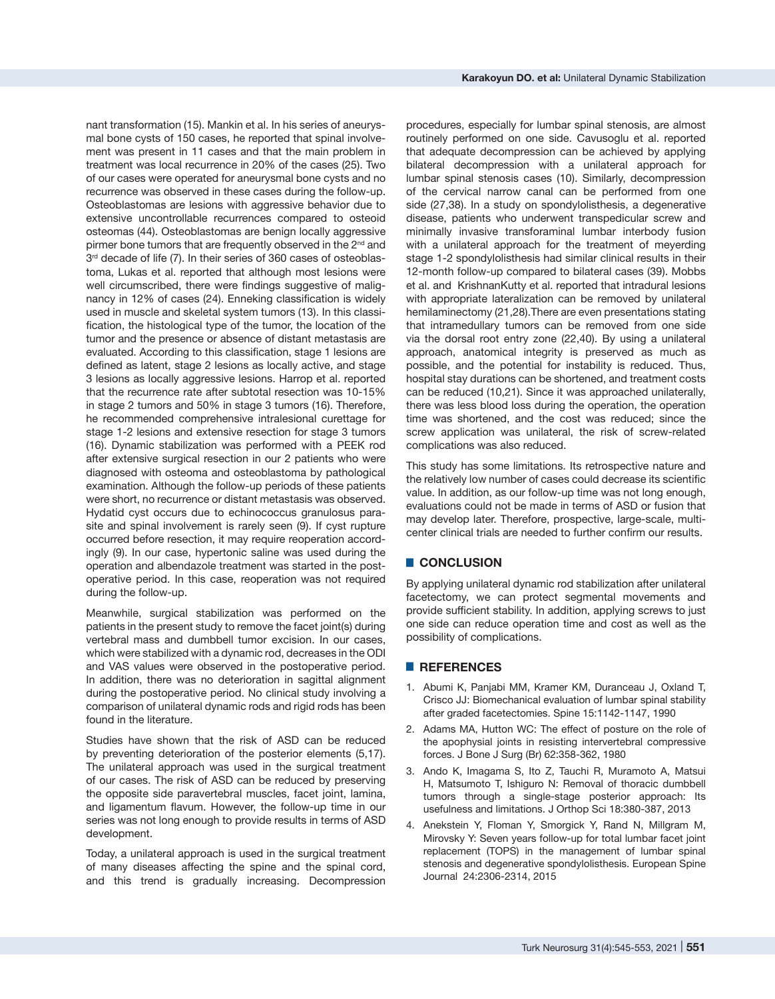nant transformation (15). Mankin et al. In his series of aneurysmal bone cysts of 150 cases, he reported that spinal involvement was present in 11 cases and that the main problem in treatment was local recurrence in 20% of the cases (25). Two of our cases were operated for aneurysmal bone cysts and no recurrence was observed in these cases during the follow-up. Osteoblastomas are lesions with aggressive behavior due to extensive uncontrollable recurrences compared to osteoid osteomas (44). Osteoblastomas are benign locally aggressive pirmer bone tumors that are frequently observed in the 2<sup>nd</sup> and 3<sup>rd</sup> decade of life (7). In their series of 360 cases of osteoblastoma, Lukas et al. reported that although most lesions were well circumscribed, there were findings suggestive of malignancy in 12% of cases (24). Enneking classification is widely used in muscle and skeletal system tumors (13). In this classification, the histological type of the tumor, the location of the tumor and the presence or absence of distant metastasis are evaluated. According to this classification, stage 1 lesions are defined as latent, stage 2 lesions as locally active, and stage 3 lesions as locally aggressive lesions. Harrop et al. reported that the recurrence rate after subtotal resection was 10-15% in stage 2 tumors and 50% in stage 3 tumors (16). Therefore, he recommended comprehensive intralesional curettage for stage 1-2 lesions and extensive resection for stage 3 tumors (16). Dynamic stabilization was performed with a PEEK rod after extensive surgical resection in our 2 patients who were diagnosed with osteoma and osteoblastoma by pathological examination. Although the follow-up periods of these patients were short, no recurrence or distant metastasis was observed. Hydatid cyst occurs due to echinococcus granulosus parasite and spinal involvement is rarely seen (9). If cyst rupture occurred before resection, it may require reoperation accordingly (9). In our case, hypertonic saline was used during the operation and albendazole treatment was started in the postoperative period. In this case, reoperation was not required during the follow-up.

Meanwhile, surgical stabilization was performed on the patients in the present study to remove the facet joint(s) during vertebral mass and dumbbell tumor excision. In our cases, which were stabilized with a dynamic rod, decreases in the ODI and VAS values were observed in the postoperative period. In addition, there was no deterioration in sagittal alignment during the postoperative period. No clinical study involving a comparison of unilateral dynamic rods and rigid rods has been found in the literature.

Studies have shown that the risk of ASD can be reduced by preventing deterioration of the posterior elements (5,17). The unilateral approach was used in the surgical treatment of our cases. The risk of ASD can be reduced by preserving the opposite side paravertebral muscles, facet joint, lamina, and ligamentum flavum. However, the follow-up time in our series was not long enough to provide results in terms of ASD development.

Today, a unilateral approach is used in the surgical treatment of many diseases affecting the spine and the spinal cord, and this trend is gradually increasing. Decompression procedures, especially for lumbar spinal stenosis, are almost routinely performed on one side. Cavusoglu et al. reported that adequate decompression can be achieved by applying bilateral decompression with a unilateral approach for lumbar spinal stenosis cases (10). Similarly, decompression of the cervical narrow canal can be performed from one side (27,38). In a study on spondylolisthesis, a degenerative disease, patients who underwent transpedicular screw and minimally invasive transforaminal lumbar interbody fusion with a unilateral approach for the treatment of meyerding stage 1-2 spondylolisthesis had similar clinical results in their 12-month follow-up compared to bilateral cases (39). Mobbs et al. and KrishnanKutty et al. reported that intradural lesions with appropriate lateralization can be removed by unilateral hemilaminectomy (21,28).There are even presentations stating that intramedullary tumors can be removed from one side via the dorsal root entry zone (22,40). By using a unilateral approach, anatomical integrity is preserved as much as possible, and the potential for instability is reduced. Thus, hospital stay durations can be shortened, and treatment costs can be reduced (10,21). Since it was approached unilaterally, there was less blood loss during the operation, the operation time was shortened, and the cost was reduced; since the screw application was unilateral, the risk of screw-related complications was also reduced.

This study has some limitations. Its retrospective nature and the relatively low number of cases could decrease its scientific value. In addition, as our follow-up time was not long enough, evaluations could not be made in terms of ASD or fusion that may develop later. Therefore, prospective, large-scale, multicenter clinical trials are needed to further confirm our results.

## █ **CONCLUSION**

By applying unilateral dynamic rod stabilization after unilateral facetectomy, we can protect segmental movements and provide sufficient stability. In addition, applying screws to just one side can reduce operation time and cost as well as the possibility of complications.

#### █ **REFERENCES**

- 1. Abumi K, Panjabi MM, Kramer KM, Duranceau J, Oxland T, Crisco JJ: Biomechanical evaluation of lumbar spinal stability after graded facetectomies. [Spine](https://www.ncbi.nlm.nih.gov/pubmed/2267608/) 15:1142-1147, 1990
- 2. Adams MA, Hutton WC: The effect of posture on the role of the apophysial joints in resisting intervertebral compressive forces. J Bone J Surg (Br) 62:358-362, 1980
- 3. Ando K, Imagama S, Ito Z, Tauchi R, Muramoto A, Matsui H, Matsumoto T, Ishiguro N: Removal of thoracic dumbbell tumors through a single-stage posterior approach: Its usefulness and limitations. J Orthop Sci 18:380-387, 2013
- 4. Anekstein Y, Floman Y, Smorgick Y, Rand N, Millgram M, Mirovsky Y: Seven years follow-up for total lumbar facet joint replacement (TOPS) in the management of lumbar spinal stenosis and degenerative spondylolisthesis. [European Spine](https://link.springer.com/journal/586)  [Journal](https://link.springer.com/journal/586) 24:2306-2314, 2015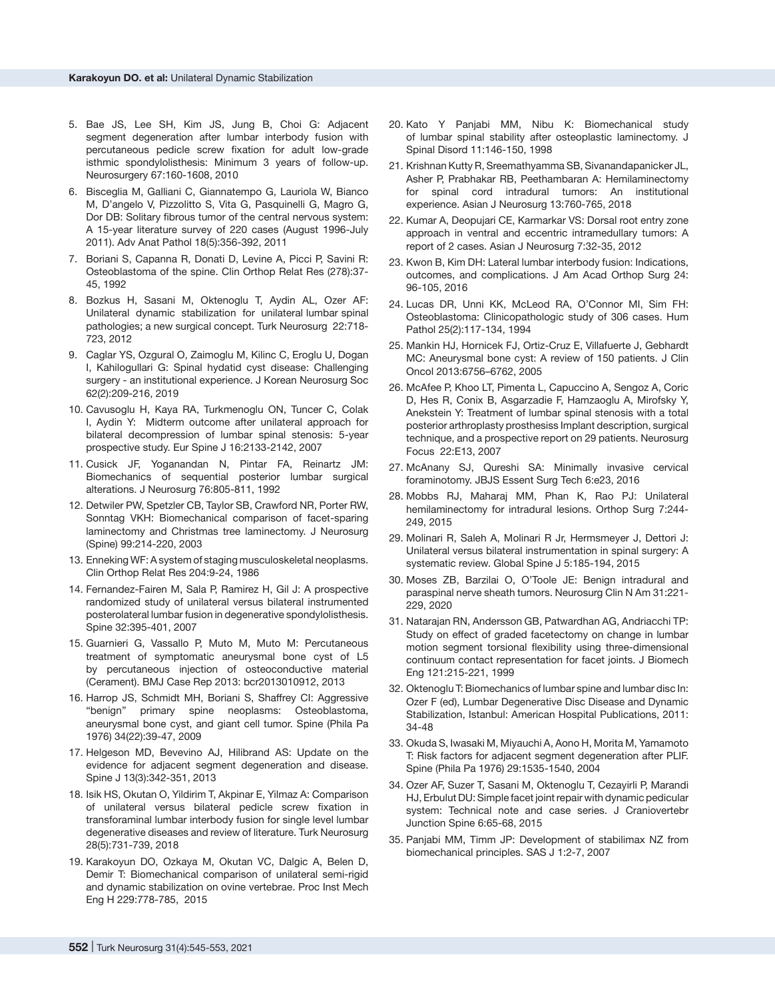- 5. Bae JS, Lee SH, Kim JS, Jung B, Choi G: Adjacent segment degeneration after lumbar interbody fusion with percutaneous pedicle screw fixation for adult low-grade isthmic spondylolisthesis: Minimum 3 years of follow-up. Neurosurgery 67:160-1608, 2010
- 6. Bisceglia M, Galliani C, Giannatempo G, Lauriola W, Bianco M, D'angelo V, Pizzolitto S, Vita G, Pasquinelli G, Magro G, Dor DB: Solitary fibrous tumor of the central nervous system: A 15-year literature survey of 220 cases (August 1996-July 2011). Adv Anat Pathol 18(5):356-392, 2011
- 7. Boriani S, Capanna R, Donati D, Levine A, Picci P, Savini R: Osteoblastoma of the spine. Clin Orthop Relat Res (278):37- 45, 1992
- 8. Bozkus H, Sasani M, Oktenoglu T, Aydin AL, Ozer AF: Unilateral dynamic stabilization for unilateral lumbar spinal pathologies; a new surgical concept. [Turk Neurosurg](https://www.ncbi.nlm.nih.gov/pubmed/23208903) 22:718- 723, 2012
- 9. Caglar YS, Ozgural O, Zaimoglu M, Kilinc C, Eroglu U, Dogan I, Kahilogullari G: Spinal hydatid cyst disease: Challenging surgery - an institutional experience. J Korean Neurosurg Soc 62(2):209-216, 2019
- 10. Cavusoglu H, Kaya RA, Turkmenoglu ON, Tuncer C, Colak I, Aydin Y: Midterm outcome after unilateral approach for bilateral decompression of lumbar spinal stenosis: 5-year prospective study. Eur Spine J 16:2133-2142, 2007
- 11. Cusick JF, Yoganandan N, Pintar FA, Reinartz JM: Biomechanics of sequential posterior lumbar surgical alterations. J Neurosurg 76:805-811, 1992
- 12. Detwiler PW, Spetzler CB, Taylor SB, Crawford NR, Porter RW, Sonntag VKH: Biomechanical comparison of facet-sparing laminectomy and Christmas tree laminectomy. J Neurosurg (Spine) 99:214-220, 2003
- 13. Enneking WF: A system of staging musculoskeletal neoplasms. Clin Orthop Relat Res 204:9-24, 1986
- 14. Fernandez-Fairen M, Sala P, Ramirez H, Gil J: A prospective randomized study of unilateral versus bilateral instrumented posterolateral lumbar fusion in degenerative spondylolisthesis. Spine 32:395-401, 2007
- 15. Guarnieri G, Vassallo P, Muto M, Muto M: Percutaneous treatment of symptomatic aneurysmal bone cyst of L5 by percutaneous injection of osteoconductive material (Cerament). BMJ Case Rep 2013: bcr2013010912, 2013
- 16. Harrop JS, Schmidt MH, Boriani S, Shaffrey CI: Aggressive "benign" primary spine neoplasms: Osteoblastoma, aneurysmal bone cyst, and giant cell tumor. Spine (Phila Pa 1976) 34(22):39-47, 2009
- 17. [Helgeson MD,](https://www.ncbi.nlm.nih.gov/pubmed/?term=Helgeson MD%5BAuthor%5D&cauthor=true&cauthor_uid=23420004) [Bevevino AJ](https://www.ncbi.nlm.nih.gov/pubmed/?term=Bevevino AJ%5BAuthor%5D&cauthor=true&cauthor_uid=23420004), [Hilibrand AS](https://www.ncbi.nlm.nih.gov/pubmed/?term=Hilibrand AS%5BAuthor%5D&cauthor=true&cauthor_uid=23420004): Update on the evidence for adjacent segment degeneration and disease. Spine J 13(3):342-351, 2013
- 18. Isik HS, Okutan O, Yildirim T, Akpinar E, Yilmaz A: Comparison of unilateral versus bilateral pedicle screw fixation in transforaminal lumbar interbody fusion for single level lumbar degenerative diseases and review of literature. Turk Neurosurg 28(5):731-739, 2018
- 19. Karakoyun DO, Ozkaya M, Okutan VC, Dalgic A, Belen D, Demir T: Biomechanical comparison of unilateral semi-rigid and dynamic stabilization on ovine vertebrae. Proc Inst Mech Eng H 229:778-785, 2015
- 20. Kato Y [Panjabi MM](https://www.ncbi.nlm.nih.gov/pubmed/?term=Panjabi MM%5BAuthor%5D&cauthor=true&cauthor_uid=9588472), [Nibu K:](https://www.ncbi.nlm.nih.gov/pubmed/?term=Nibu K%5BAuthor%5D&cauthor=true&cauthor_uid=9588472) Biomechanical study of lumbar spinal stability after osteoplastic laminectomy. [J](https://www.ncbi.nlm.nih.gov/pubmed/9588472/)  [Spinal Disord](https://www.ncbi.nlm.nih.gov/pubmed/9588472/) 11:146-150, 1998
- 21. Krishnan Kutty R, Sreemathyamma SB, Sivanandapanicker JL, Asher P, Prabhakar RB, Peethambaran A: Hemilaminectomy for spinal cord intradural tumors: An institutional experience. Asian J Neurosurg 13:760-765, 2018
- 22. Kumar A, Deopujari CE, Karmarkar VS: Dorsal root entry zone approach in ventral and eccentric intramedullary tumors: A report of 2 cases. Asian J Neurosurg 7:32-35, 2012
- 23. Kwon B, Kim DH: Lateral lumbar interbody fusion: Indications, outcomes, and complications. J Am Acad Orthop Surg 24: 96-105, 2016
- 24. Lucas DR, Unni KK, McLeod RA, O'Connor MI, Sim FH: Osteoblastoma: Clinicopathologic study of 306 cases. Hum Pathol 25(2):117-134, 1994
- 25. Mankin HJ, Hornicek FJ, Ortiz-Cruz E, Villafuerte J, Gebhardt MC: Aneurysmal bone cyst: A review of 150 patients. J Clin Oncol 2013:6756–6762, 2005
- 26. McAfee P, Khoo LT, Pimenta L, Capuccino A, Sengoz A, Coric D, Hes R, Conix B, Asgarzadie F, Hamzaoglu A, Mirofsky Y, Anekstein Y: Treatment of lumbar spinal stenosis with a total posterior arthroplasty prosthesiss Implant description, surgical technique, and a prospective report on 29 patients. Neurosurg Focus 22:E13, 2007
- 27. McAnany SJ, Qureshi SA: Minimally invasive cervical foraminotomy. JBJS Essent Surg Tech 6:e23, 2016
- 28. Mobbs RJ, Maharaj MM, Phan K, Rao PJ: Unilateral hemilaminectomy for intradural lesions. Orthop Surg 7:244- 249, 2015
- 29. Molinari R, Saleh A, Molinari R Jr, Hermsmeyer J, Dettori J: Unilateral versus bilateral instrumentation in spinal surgery: A systematic review. Global Spine J 5:185-194, 2015
- 30. Moses ZB, Barzilai O, O'Toole JE: Benign intradural and paraspinal nerve sheath tumors. [Neurosurg Clin N Am](https://www.ncbi.nlm.nih.gov/pubmed/32147013) 31:221- 229, 2020
- 31. Natarajan RN, Andersson GB, Patwardhan AG, Andriacchi TP: Study on effect of graded facetectomy on change in lumbar motion segment torsional flexibility using three-dimensional continuum contact representation for facet joints. J Biomech Eng 121:215-221, 1999
- 32. Oktenoglu T: Biomechanics of lumbar spine and lumbar disc In: Ozer F (ed), Lumbar Degenerative Disc Disease and Dynamic Stabilization, Istanbul: American Hospital Publications, 2011: 34-48
- 33. Okuda S, Iwasaki M, Miyauchi A, Aono H, Morita M, Yamamoto T: Risk factors for adjacent segment degeneration after PLIF. Spine (Phila Pa 1976) 29:1535-1540, 2004
- 34. Ozer AF, Suzer T, Sasani M, Oktenoglu T, Cezayirli P, Marandi HJ, Erbulut DU: Simple facet joint repair with dynamic pedicular system: Technical note and case series. [J Craniovertebr](https://www.ncbi.nlm.nih.gov/pubmed/25972711)  [Junction Spine](https://www.ncbi.nlm.nih.gov/pubmed/25972711) 6:65-68, 2015
- 35. Panjabi MM, Timm JP: Development of stabilimax NZ from biomechanical principles. SAS J 1:2-7, 2007